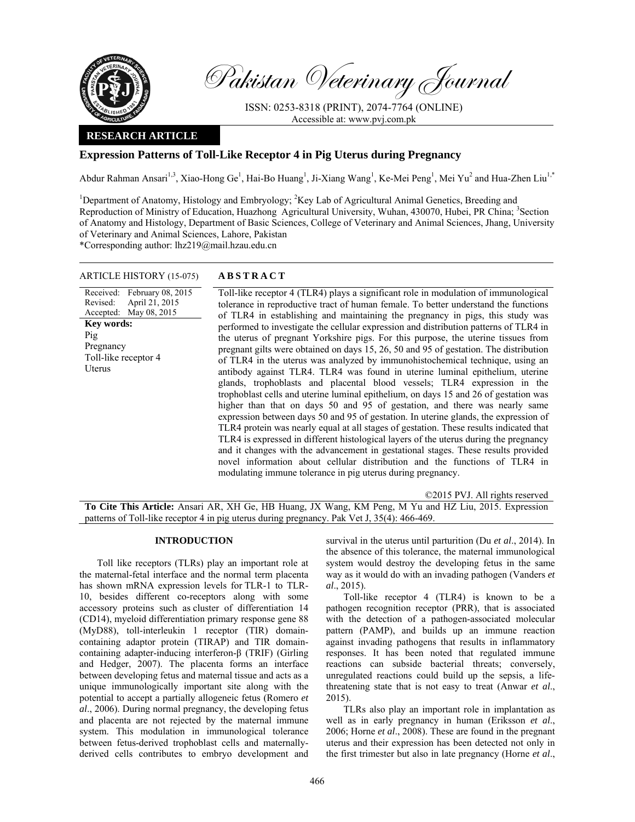

Pakistan Veterinary Journal

ISSN: 0253-8318 (PRINT), 2074-7764 (ONLINE) Accessible at: www.pvj.com.pk

## **RESEARCH ARTICLE**

# **Expression Patterns of Toll-Like Receptor 4 in Pig Uterus during Pregnancy**

Abdur Rahman Ansari<sup>1,3</sup>, Xiao-Hong Ge<sup>1</sup>, Hai-Bo Huang<sup>1</sup>, Ji-Xiang Wang<sup>1</sup>, Ke-Mei Peng<sup>1</sup>, Mei Yu<sup>2</sup> and Hua-Zhen Liu<sup>1,\*</sup>

<sup>1</sup>Department of Anatomy, Histology and Embryology; <sup>2</sup>Key Lab of Agricultural Animal Genetics, Breeding and Reproduction of Ministry of Education, Huazhong Agricultural University, Wuhan, 430070, Hubei, PR China; <sup>3</sup>Section of Anatomy and Histology, Department of Basic Sciences, College of Veterinary and Animal Sciences, Jhang, University of Veterinary and Animal Sciences, Lahore, Pakistan

\*Corresponding author: lhz219@mail.hzau.edu.cn

## ARTICLE HISTORY (15-075) **ABSTRACT**

Received: February 08, 2015 Revised: Accepted: April 21, 2015 May 08, 2015 **Key words:**  Pig Pregnancy Toll-like receptor 4 Uterus

 Toll-like receptor 4 (TLR4) plays a significant role in modulation of immunological tolerance in reproductive tract of human female. To better understand the functions of TLR4 in establishing and maintaining the pregnancy in pigs, this study was performed to investigate the cellular expression and distribution patterns of TLR4 in the uterus of pregnant Yorkshire pigs. For this purpose, the uterine tissues from pregnant gilts were obtained on days 15, 26, 50 and 95 of gestation. The distribution of TLR4 in the uterus was analyzed by immunohistochemical technique, using an antibody against TLR4. TLR4 was found in uterine luminal epithelium, uterine glands, trophoblasts and placental blood vessels; TLR4 expression in the trophoblast cells and uterine luminal epithelium, on days 15 and 26 of gestation was higher than that on days 50 and 95 of gestation, and there was nearly same expression between days 50 and 95 of gestation. In uterine glands, the expression of TLR4 protein was nearly equal at all stages of gestation. These results indicated that TLR4 is expressed in different histological layers of the uterus during the pregnancy and it changes with the advancement in gestational stages. These results provided novel information about cellular distribution and the functions of TLR4 in modulating immune tolerance in pig uterus during pregnancy.

©2015 PVJ. All rights reserved

**To Cite This Article:** Ansari AR, XH Ge, HB Huang, JX Wang, KM Peng, M Yu and HZ Liu, 2015. Expression patterns of Toll-like receptor 4 in pig uterus during pregnancy. Pak Vet J, 35(4): 466-469.

## **INTRODUCTION**

Toll like receptors (TLRs) play an important role at the maternal-fetal interface and the normal term placenta has shown mRNA expression levels for TLR-1 to TLR-10, besides different co-receptors along with some accessory proteins such as cluster of differentiation 14 (CD14), myeloid differentiation primary response gene 88 (MyD88), toll-interleukin 1 receptor (TIR) domaincontaining adaptor protein (TIRAP) and TIR domaincontaining adapter-inducing interferon-β (TRIF) (Girling and Hedger, 2007). The placenta forms an interface between developing fetus and maternal tissue and acts as a unique immunologically important site along with the potential to accept a partially allogeneic fetus (Romero *et al*., 2006). During normal pregnancy, the developing fetus and placenta are not rejected by the maternal immune system. This modulation in immunological tolerance between fetus-derived trophoblast cells and maternallyderived cells contributes to embryo development and

survival in the uterus until parturition (Du *et al*., 2014). In the absence of this tolerance, the maternal immunological system would destroy the developing fetus in the same way as it would do with an invading pathogen (Vanders *et al*., 2015).

Toll-like receptor 4 (TLR4) is known to be a pathogen recognition receptor (PRR), that is associated with the detection of a pathogen-associated molecular pattern (PAMP), and builds up an immune reaction against invading pathogens that results in inflammatory responses. It has been noted that regulated immune reactions can subside bacterial threats; conversely, unregulated reactions could build up the sepsis, a lifethreatening state that is not easy to treat (Anwar *et al*., 2015).

TLRs also play an important role in implantation as well as in early pregnancy in human (Eriksson *et al*., 2006; Horne *et al*., 2008). These are found in the pregnant uterus and their expression has been detected not only in the first trimester but also in late pregnancy (Horne *et al*.,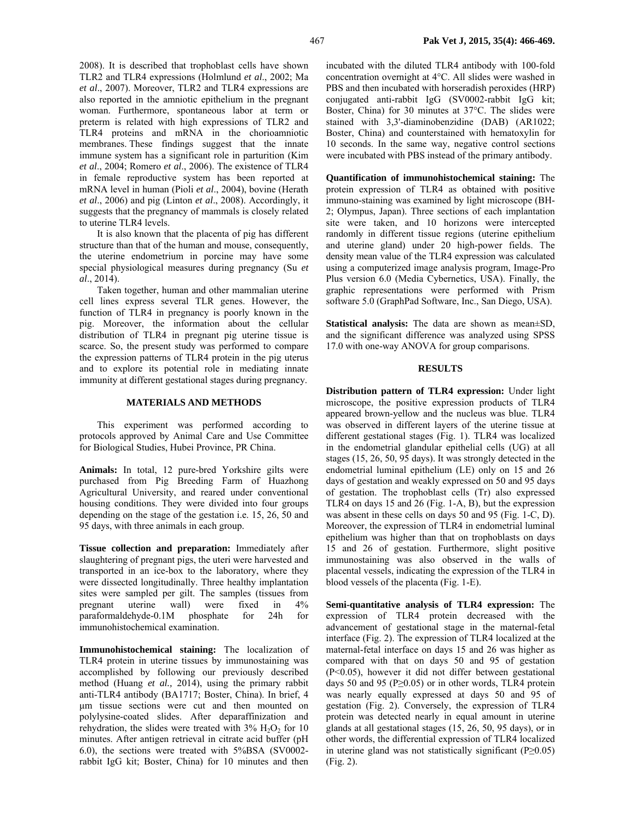2008). It is described that trophoblast cells have shown TLR2 and TLR4 expressions (Holmlund *et al*., 2002; Ma *et al*., 2007). Moreover, TLR2 and TLR4 expressions are also reported in the amniotic epithelium in the pregnant woman. Furthermore, spontaneous labor at term or preterm is related with high expressions of TLR2 and TLR4 proteins and mRNA in the chorioamniotic membranes. These findings suggest that the innate immune system has a significant role in parturition (Kim *et al*., 2004; Romero *et al*., 2006). The existence of TLR4 in female reproductive system has been reported at mRNA level in human (Pioli *et al*., 2004), bovine (Herath *et al*., 2006) and pig (Linton *et al*., 2008). Accordingly, it suggests that the pregnancy of mammals is closely related to uterine TLR4 levels.

It is also known that the placenta of pig has different structure than that of the human and mouse, consequently, the uterine endometrium in porcine may have some special physiological measures during pregnancy (Su *et al*., 2014).

Taken together, human and other mammalian uterine cell lines express several TLR genes. However, the function of TLR4 in pregnancy is poorly known in the pig. Moreover, the information about the cellular distribution of TLR4 in pregnant pig uterine tissue is scarce. So, the present study was performed to compare the expression patterns of TLR4 protein in the pig uterus and to explore its potential role in mediating innate immunity at different gestational stages during pregnancy.

#### **MATERIALS AND METHODS**

This experiment was performed according to protocols approved by Animal Care and Use Committee for Biological Studies, Hubei Province, PR China.

**Animals:** In total, 12 pure-bred Yorkshire gilts were purchased from Pig Breeding Farm of Huazhong Agricultural University, and reared under conventional housing conditions. They were divided into four groups depending on the stage of the gestation i.e. 15, 26, 50 and 95 days, with three animals in each group.

**Tissue collection and preparation:** Immediately after slaughtering of pregnant pigs, the uteri were harvested and transported in an ice-box to the laboratory, where they were dissected longitudinally. Three healthy implantation sites were sampled per gilt. The samples (tissues from pregnant uterine wall) were fixed in 4% paraformaldehyde-0.1M phosphate for 24h for immunohistochemical examination.

**Immunohistochemical staining:** The localization of TLR4 protein in uterine tissues by immunostaining was accomplished by following our previously described method (Huang *et al.,* 2014), using the primary rabbit anti-TLR4 antibody (BA1717; Boster, China). In brief, 4 µm tissue sections were cut and then mounted on polylysine-coated slides. After deparaffinization and rehydration, the slides were treated with  $3\%$  H<sub>2</sub>O<sub>2</sub> for 10 minutes. After antigen retrieval in citrate acid buffer (pH 6.0), the sections were treated with 5%BSA (SV0002 rabbit IgG kit; Boster, China) for 10 minutes and then

incubated with the diluted TLR4 antibody with 100-fold concentration overnight at 4°C. All slides were washed in PBS and then incubated with horseradish peroxides (HRP) conjugated anti-rabbit IgG (SV0002-rabbit IgG kit; Boster, China) for 30 minutes at 37°C. The slides were stained with 3,3'-diaminobenzidine (DAB) (AR1022; Boster, China) and counterstained with hematoxylin for 10 seconds. In the same way, negative control sections were incubated with PBS instead of the primary antibody.

**Quantification of immunohistochemical staining:** The protein expression of TLR4 as obtained with positive immuno-staining was examined by light microscope (BH-2; Olympus, Japan). Three sections of each implantation site were taken, and 10 horizons were intercepted randomly in different tissue regions (uterine epithelium and uterine gland) under 20 high-power fields. The density mean value of the TLR4 expression was calculated using a computerized image analysis program, Image-Pro Plus version 6.0 (Media Cybernetics, USA). Finally, the graphic representations were performed with Prism software 5.0 (GraphPad Software, Inc., San Diego, USA).

**Statistical analysis:** The data are shown as mean±SD, and the significant difference was analyzed using SPSS 17.0 with one-way ANOVA for group comparisons.

### **RESULTS**

**Distribution pattern of TLR4 expression:** Under light microscope, the positive expression products of TLR4 appeared brown-yellow and the nucleus was blue. TLR4 was observed in different layers of the uterine tissue at different gestational stages (Fig. 1). TLR4 was localized in the endometrial glandular epithelial cells (UG) at all stages (15, 26, 50, 95 days). It was strongly detected in the endometrial luminal epithelium (LE) only on 15 and 26 days of gestation and weakly expressed on 50 and 95 days of gestation. The trophoblast cells (Tr) also expressed TLR4 on days 15 and 26 (Fig. 1-A, B), but the expression was absent in these cells on days 50 and 95 (Fig. 1-C, D). Moreover, the expression of TLR4 in endometrial luminal epithelium was higher than that on trophoblasts on days 15 and 26 of gestation. Furthermore, slight positive immunostaining was also observed in the walls of placental vessels, indicating the expression of the TLR4 in blood vessels of the placenta (Fig. 1-E).

**Semi-quantitative analysis of TLR4 expression:** The expression of TLR4 protein decreased with the advancement of gestational stage in the maternal-fetal interface (Fig. 2). The expression of TLR4 localized at the maternal-fetal interface on days 15 and 26 was higher as compared with that on days 50 and 95 of gestation (P<0.05), however it did not differ between gestational days 50 and 95 ( $P \ge 0.05$ ) or in other words, TLR4 protein was nearly equally expressed at days 50 and 95 of gestation (Fig. 2). Conversely, the expression of TLR4 protein was detected nearly in equal amount in uterine glands at all gestational stages (15, 26, 50, 95 days), or in other words, the differential expression of TLR4 localized in uterine gland was not statistically significant (P≥0.05) (Fig. 2).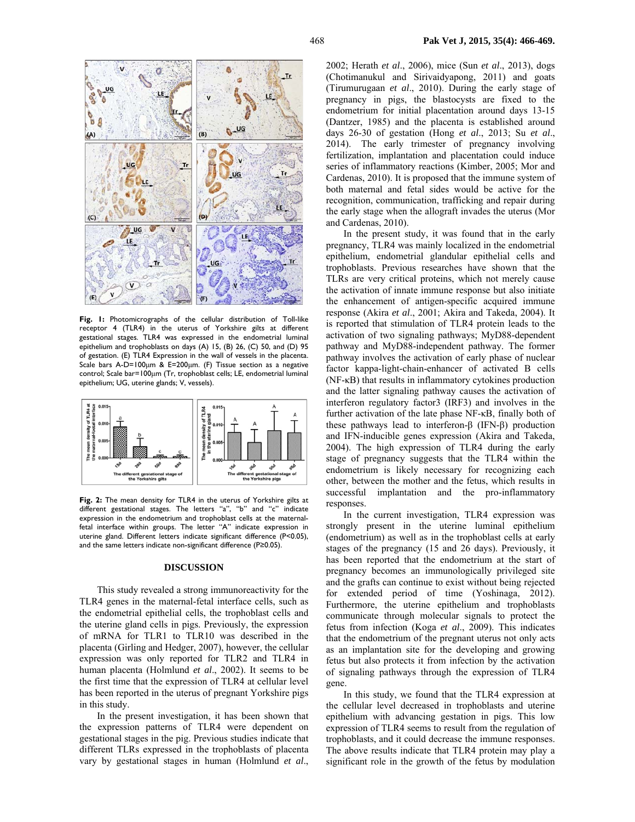

**Fig. 1:** Photomicrographs of the cellular distribution of Toll-like receptor 4 (TLR4) in the uterus of Yorkshire gilts at different gestational stages. TLR4 was expressed in the endometrial luminal epithelium and trophoblasts on days (A) 15, (B) 26, (C) 50, and (D) 95 of gestation. (E) TLR4 Expression in the wall of vessels in the placenta. Scale bars A-D=100µm & E=200µm. (F) Tissue section as a negative control; Scale bar=100µm (Tr, trophoblast cells; LE, endometrial luminal epithelium; UG, uterine glands; V, vessels).



**Fig. 2:** The mean density for TLR4 in the uterus of Yorkshire gilts at different gestational stages. The letters "a", "b" and "c" indicate expression in the endometrium and trophoblast cells at the maternalfetal interface within groups. The letter "A" indicate expression in uterine gland. Different letters indicate significant difference (P<0.05), and the same letters indicate non-significant difference (P≥0.05).

#### **DISCUSSION**

This study revealed a strong immunoreactivity for the TLR4 genes in the maternal-fetal interface cells, such as the endometrial epithelial cells, the trophoblast cells and the uterine gland cells in pigs. Previously, the expression of mRNA for TLR1 to TLR10 was described in the placenta (Girling and Hedger, 2007), however, the cellular expression was only reported for TLR2 and TLR4 in human placenta (Holmlund *et al*., 2002). It seems to be the first time that the expression of TLR4 at cellular level has been reported in the uterus of pregnant Yorkshire pigs in this study.

In the present investigation, it has been shown that the expression patterns of TLR4 were dependent on gestational stages in the pig. Previous studies indicate that different TLRs expressed in the trophoblasts of placenta vary by gestational stages in human (Holmlund *et al*.,

2002; Herath *et al*., 2006), mice (Sun *et al*., 2013), dogs (Chotimanukul and Sirivaidyapong, 2011) and goats (Tirumurugaan *et al*., 2010). During the early stage of pregnancy in pigs, the blastocysts are fixed to the endometrium for initial placentation around days 13-15 (Dantzer, 1985) and the placenta is established around days 26-30 of gestation (Hong *et al*., 2013; Su *et al*., 2014). The early trimester of pregnancy involving fertilization, implantation and placentation could induce series of inflammatory reactions (Kimber, 2005; Mor and Cardenas, 2010). It is proposed that the immune system of both maternal and fetal sides would be active for the recognition, communication, trafficking and repair during the early stage when the allograft invades the uterus (Mor and Cardenas, 2010).

In the present study, it was found that in the early pregnancy, TLR4 was mainly localized in the endometrial epithelium, endometrial glandular epithelial cells and trophoblasts. Previous researches have shown that the TLRs are very critical proteins, which not merely cause the activation of innate immune response but also initiate the enhancement of antigen-specific acquired immune response (Akira *et al*., 2001; Akira and Takeda, 2004). It is reported that stimulation of TLR4 protein leads to the activation of two signaling pathways; MyD88-dependent pathway and MyD88-independent pathway. The former pathway involves the activation of early phase of nuclear factor kappa-light-chain-enhancer of activated B cells (NF-κB) that results in inflammatory cytokines production and the latter signaling pathway causes the activation of interferon regulatory factor3 (IRF3) and involves in the further activation of the late phase NF-κB, finally both of these pathways lead to interferon-β (IFN-β) production and IFN-inducible genes expression (Akira and Takeda, 2004). The high expression of TLR4 during the early stage of pregnancy suggests that the TLR4 within the endometrium is likely necessary for recognizing each other, between the mother and the fetus, which results in successful implantation and the pro-inflammatory responses.

In the current investigation, TLR4 expression was strongly present in the uterine luminal epithelium (endometrium) as well as in the trophoblast cells at early stages of the pregnancy (15 and 26 days). Previously, it has been reported that the endometrium at the start of pregnancy becomes an immunologically privileged site and the grafts can continue to exist without being rejected for extended period of time (Yoshinaga, 2012). Furthermore, the uterine epithelium and trophoblasts communicate through molecular signals to protect the fetus from infection (Koga *et al*., 2009). This indicates that the endometrium of the pregnant uterus not only acts as an implantation site for the developing and growing fetus but also protects it from infection by the activation of signaling pathways through the expression of TLR4 gene.

In this study, we found that the TLR4 expression at the cellular level decreased in trophoblasts and uterine epithelium with advancing gestation in pigs. This low expression of TLR4 seems to result from the regulation of trophoblasts, and it could decrease the immune responses. The above results indicate that TLR4 protein may play a significant role in the growth of the fetus by modulation